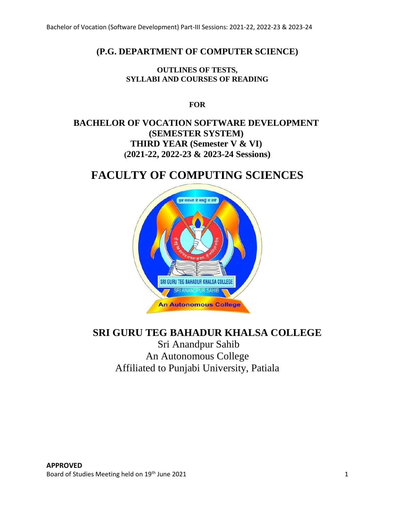## **(P.G. DEPARTMENT OF COMPUTER SCIENCE)**

**OUTLINES OF TESTS, SYLLABI AND COURSES OF READING**

**FOR**

## **BACHELOR OF VOCATION SOFTWARE DEVELOPMENT (SEMESTER SYSTEM) THIRD YEAR (Semester V & VI) (2021-22, 2022-23 & 2023-24 Sessions)**

# **FACULTY OF COMPUTING SCIENCES**



## **SRI GURU TEG BAHADUR KHALSA COLLEGE**

Sri Anandpur Sahib An Autonomous College Affiliated to Punjabi University, Patiala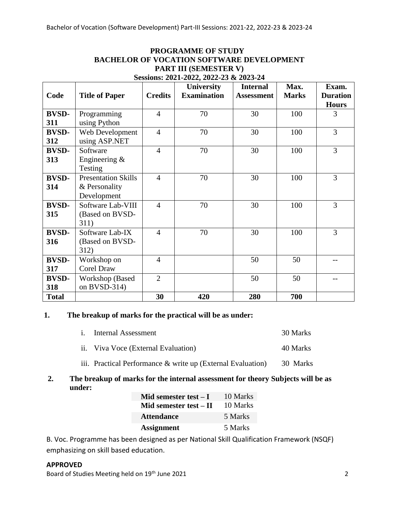## **PROGRAMME OF STUDY BACHELOR OF VOCATION SOFTWARE DEVELOPMENT PART III (SEMESTER V) Sessions: 2021-2022, 2022-23 & 2023-24**

|              |                            |                | <b>University</b>  | <b>Internal</b>   | Max.         | Exam.           |
|--------------|----------------------------|----------------|--------------------|-------------------|--------------|-----------------|
| Code         | <b>Title of Paper</b>      | <b>Credits</b> | <b>Examination</b> | <b>Assessment</b> | <b>Marks</b> | <b>Duration</b> |
|              |                            |                |                    |                   |              | <b>Hours</b>    |
| <b>BVSD-</b> | Programming                | $\overline{4}$ | 70                 | 30                | 100          | 3               |
| 311          | using Python               |                |                    |                   |              |                 |
| <b>BVSD-</b> | Web Development            | $\overline{4}$ | 70                 | 30                | 100          | $\overline{3}$  |
| 312          | using ASP.NET              |                |                    |                   |              |                 |
| <b>BVSD-</b> | Software                   | $\overline{4}$ | 70                 | 30                | 100          | 3               |
| 313          | Engineering $\&$           |                |                    |                   |              |                 |
|              | Testing                    |                |                    |                   |              |                 |
| <b>BVSD-</b> | <b>Presentation Skills</b> | $\overline{4}$ | 70                 | 30                | 100          | 3               |
| 314          | & Personality              |                |                    |                   |              |                 |
|              | Development                |                |                    |                   |              |                 |
| <b>BVSD-</b> | Software Lab-VIII          | $\overline{4}$ | 70                 | 30                | 100          | $\overline{3}$  |
| 315          | (Based on BVSD-            |                |                    |                   |              |                 |
|              | 311)                       |                |                    |                   |              |                 |
| <b>BVSD-</b> | Software Lab-IX            | $\overline{4}$ | 70                 | 30                | 100          | 3               |
| 316          | (Based on BVSD-            |                |                    |                   |              |                 |
|              | 312)                       |                |                    |                   |              |                 |
| <b>BVSD-</b> | Workshop on                | $\overline{4}$ |                    | 50                | 50           |                 |
| 317          | Corel Draw                 |                |                    |                   |              |                 |
| <b>BVSD-</b> | Workshop (Based            | $\overline{2}$ |                    | 50                | 50           |                 |
| 318          | on BVSD-314)               |                |                    |                   |              |                 |
| <b>Total</b> |                            | 30             | 420                | 280               | 700          |                 |

#### **1. The breakup of marks for the practical will be as under:**

| <i>i.</i> Internal Assessment       | 30 Marks |
|-------------------------------------|----------|
| ii. Viva Voce (External Evaluation) | 40 Marks |

- iii. Practical Performance  $\&$  write up (External Evaluation) 30 Marks
- **2. The breakup of marks for the internal assessment for theory Subjects will be as under:**

| Mid semester test $-I$   | 10 Marks |
|--------------------------|----------|
| Mid semester test $-$ II | 10 Marks |
| <b>Attendance</b>        | 5 Marks  |
| <b>Assignment</b>        | 5 Marks  |

B. Voc. Programme has been designed as per National Skill Qualification Framework (NSQF) emphasizing on skill based education.

## **APPROVED**

Board of Studies Meeting held on 19<sup>th</sup> June 2021 **2** 2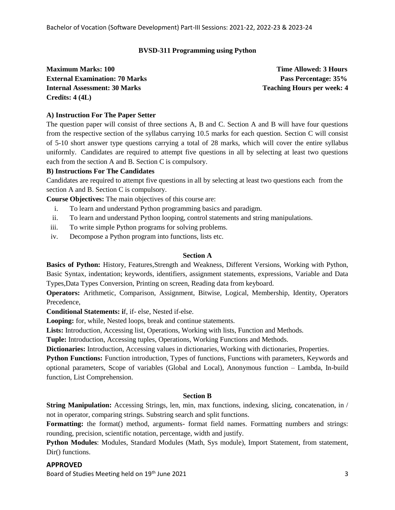## **BVSD-311 Programming using Python**

**Maximum Marks: 100 Time Allowed: 3 Hours External Examination: 70 Marks Pass Percentage: 35% Internal Assessment: 30 Marks Teaching Hours per week: 4 <b>Teaching Hours** per week: 4 **Credits: 4 (4L)**

## **A) Instruction For The Paper Setter**

The question paper will consist of three sections A, B and C. Section A and B will have four questions from the respective section of the syllabus carrying 10.5 marks for each question. Section C will consist of 5-10 short answer type questions carrying a total of 28 marks, which will cover the entire syllabus uniformly. Candidates are required to attempt five questions in all by selecting at least two questions each from the section A and B. Section C is compulsory.

## **B) Instructions For The Candidates**

Candidates are required to attempt five questions in all by selecting at least two questions each from the section A and B. Section C is compulsory.

**Course Objectives:** The main objectives of this course are:

- i. To learn and understand Python programming basics and paradigm.
- ii. To learn and understand Python looping, control statements and string manipulations.
- iii. To write simple Python programs for solving problems.
- iv. Decompose a Python program into functions, lists etc.

#### **Section A**

**Basics of Python:** History, Features,Strength and Weakness, Different Versions, Working with Python, Basic Syntax, indentation; keywords, identifiers, assignment statements, expressions, Variable and Data Types,Data Types Conversion, Printing on screen, Reading data from keyboard.

**Operators:** Arithmetic, Comparison, Assignment, Bitwise, Logical, Membership, Identity, Operators Precedence,

**Conditional Statements: i**f, if- else, Nested if-else.

**Looping:** for, while, Nested loops, break and continue statements.

**Lists:** Introduction, Accessing list, Operations, Working with lists, Function and Methods.

**Tuple:** Introduction, Accessing tuples, Operations, Working Functions and Methods.

**Dictionaries:** Introduction, Accessing values in dictionaries, Working with dictionaries, Properties.

**Python Functions:** Function introduction, Types of functions, Functions with parameters, Keywords and optional parameters, Scope of variables (Global and Local), Anonymous function – Lambda, In-build function, List Comprehension.

#### **Section B**

**String Manipulation:** Accessing Strings, len, min, max functions, indexing, slicing, concatenation, in / not in operator, comparing strings. Substring search and split functions.

**Formatting:** the format() method, arguments- format field names. Formatting numbers and strings: rounding, precision, scientific notation, percentage, width and justify.

**Python Modules**: Modules, Standard Modules (Math, Sys module), Import Statement, from statement, Dir() functions.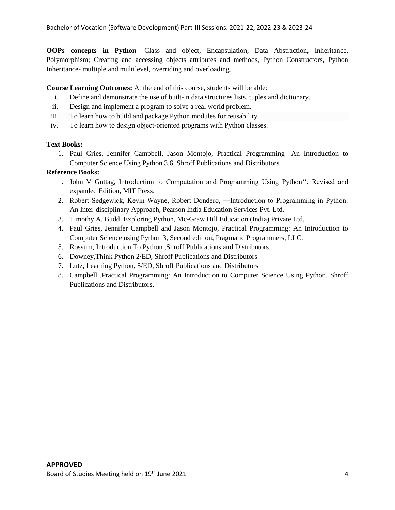**OOPs concepts in Python**- Class and object, Encapsulation, Data Abstraction, Inheritance, Polymorphism; Creating and accessing objects attributes and methods, Python Constructors, Python Inheritance- multiple and multilevel, overriding and overloading.

**Course Learning Outcomes:** At the end of this course, students will be able:

- i. Define and demonstrate the use of built-in data structures lists, tuples and dictionary.
- ii. Design and implement a program to solve a real world problem.
- iii. To learn how to build and package Python modules for reusability.
- iv. To learn how to design object-oriented programs with Python classes.

#### **Text Books:**

1. Paul Gries, Jennifer Campbell, Jason Montojo, Practical Programming- An Introduction to Computer Science Using Python 3.6, Shroff Publications and Distributors.

## **Reference Books:**

- 1. John V Guttag, Introduction to Computation and Programming Using Python'', Revised and expanded Edition, MIT Press.
- 2. Robert Sedgewick, Kevin Wayne, Robert Dondero, ―Introduction to Programming in Python: An Inter-disciplinary Approach, Pearson India Education Services Pvt. Ltd.
- 3. Timothy A. Budd, Exploring Python, Mc-Graw Hill Education (India) Private Ltd.
- 4. Paul Gries, Jennifer Campbell and Jason Montojo, Practical Programming: An Introduction to Computer Science using Python 3, Second edition, Pragmatic Programmers, LLC.
- 5. Rossum, Introduction To Python ,Shroff Publications and Distributors
- 6. Downey,Think Python 2/ED, Shroff Publications and Distributors
- 7. Lutz, Learning Python, 5/ED, Shroff Publications and Distributors
- 8. Campbell ,Practical Programming: An Introduction to Computer Science Using Python, Shroff Publications and Distributors.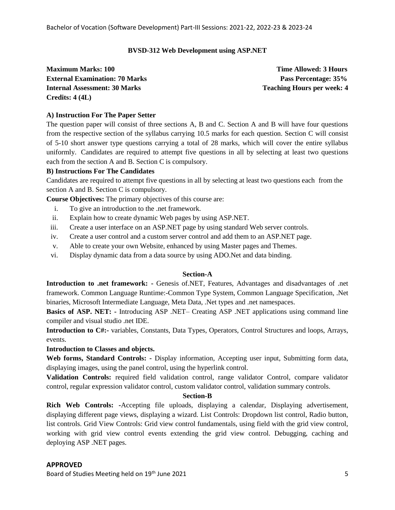## **BVSD-312 Web Development using ASP.NET**

**Maximum Marks: 100 Time Allowed: 3 Hours External Examination: 70 Marks Pass Percentage: 35% Internal Assessment: 30 Marks Teaching Hours per week: 4 <b>Teaching Hours** per week: 4 **Credits: 4 (4L)**

## **A) Instruction For The Paper Setter**

The question paper will consist of three sections A, B and C. Section A and B will have four questions from the respective section of the syllabus carrying 10.5 marks for each question. Section C will consist of 5-10 short answer type questions carrying a total of 28 marks, which will cover the entire syllabus uniformly. Candidates are required to attempt five questions in all by selecting at least two questions each from the section A and B. Section C is compulsory.

## **B) Instructions For The Candidates**

Candidates are required to attempt five questions in all by selecting at least two questions each from the section A and B. Section C is compulsory.

**Course Objectives:** The primary objectives of this course are:

- i. To give an introduction to the .net framework.
- ii. Explain how to create dynamic Web pages by using ASP.NET.
- iii. Create a user interface on an ASP.NET page by using standard Web server controls.
- iv. Create a user control and a custom server control and add them to an ASP.NET page.
- v. Able to create your own Website, enhanced by using Master pages and Themes.
- vi. Display dynamic data from a data source by using ADO.Net and data binding.

#### **Section-A**

**Introduction to .net framework: -** Genesis of.NET, Features, Advantages and disadvantages of .net framework. Common Language Runtime:-Common Type System, Common Language Specification, .Net binaries, Microsoft Intermediate Language, Meta Data, .Net types and .net namespaces.

**Basics of ASP. NET: -** Introducing ASP .NET– Creating ASP .NET applications using command line compiler and visual studio .net IDE.

**Introduction to C#:-** variables, Constants, Data Types, Operators, Control Structures and loops, Arrays, events.

### **Introduction to Classes and objects.**

**Web forms, Standard Controls: -** Display information, Accepting user input, Submitting form data, displaying images, using the panel control, using the hyperlink control.

**Validation Controls:** required field validation control, range validator Control, compare validator control, regular expression validator control, custom validator control, validation summary controls.

#### **Section-B**

**Rich Web Controls: -**Accepting file uploads, displaying a calendar, Displaying advertisement, displaying different page views, displaying a wizard. List Controls: Dropdown list control, Radio button, list controls. Grid View Controls: Grid view control fundamentals, using field with the grid view control, working with grid view control events extending the grid view control. Debugging, caching and deploying ASP .NET pages.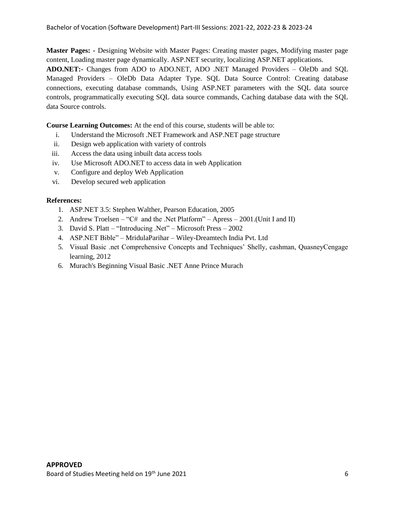**Master Pages: -** Designing Website with Master Pages: Creating master pages, Modifying master page content, Loading master page dynamically. ASP.NET security, localizing ASP.NET applications.

**ADO.NET:-** Changes from ADO to ADO.NET, ADO .NET Managed Providers – OleDb and SQL Managed Providers – OleDb Data Adapter Type. SQL Data Source Control: Creating database connections, executing database commands, Using ASP.NET parameters with the SQL data source controls, programmatically executing SQL data source commands, Caching database data with the SQL data Source controls.

**Course Learning Outcomes:** At the end of this course, students will be able to:

- i. Understand the Microsoft .NET Framework and ASP.NET page structure
- ii. Design web application with variety of controls
- iii. Access the data using inbuilt data access tools
- iv. Use Microsoft ADO.NET to access data in web Application
- v. Configure and deploy Web Application
- vi. Develop secured web application

#### **References:**

- 1. ASP.NET 3.5: Stephen Walther, Pearson Education, 2005
- 2. Andrew Troelsen "C# and the .Net Platform" Apress 2001.(Unit I and II)
- 3. David S. Platt "Introducing .Net" Microsoft Press 2002
- 4. ASP.NET Bible" MridulaParihar Wiley-Dreamtech India Pvt. Ltd
- 5. Visual Basic .net Comprehensive Concepts and Techniques' Shelly, cashman, QuasneyCengage learning, 2012
- 6. Murach's Beginning Visual Basic .NET Anne Prince Murach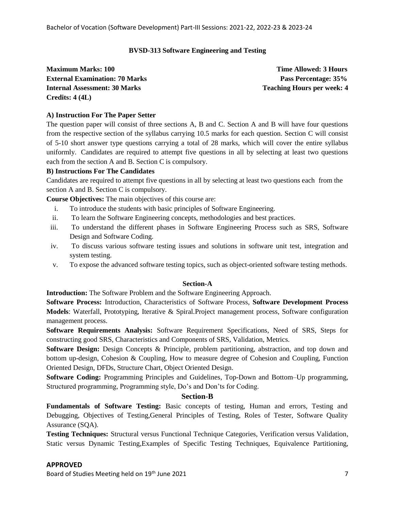## **BVSD-313 Software Engineering and Testing**

**Maximum Marks: 100 Time Allowed: 3 Hours External Examination: 70 Marks Pass Percentage: 35% Internal Assessment: 30 Marks Teaching Hours per week: 4 <b>Teaching Hours** per week: 4 **Credits: 4 (4L)**

## **A) Instruction For The Paper Setter**

The question paper will consist of three sections A, B and C. Section A and B will have four questions from the respective section of the syllabus carrying 10.5 marks for each question. Section C will consist of 5-10 short answer type questions carrying a total of 28 marks, which will cover the entire syllabus uniformly. Candidates are required to attempt five questions in all by selecting at least two questions each from the section A and B. Section C is compulsory.

## **B) Instructions For The Candidates**

Candidates are required to attempt five questions in all by selecting at least two questions each from the section A and B. Section C is compulsory.

**Course Objectives:** The main objectives of this course are:

- i. To introduce the students with basic principles of Software Engineering.
- ii. To learn the Software Engineering concepts, methodologies and best practices.
- iii. To understand the different phases in Software Engineering Process such as SRS, Software Design and Software Coding.
- iv. To discuss various software testing issues and solutions in software unit test, integration and system testing.
- v. To expose the advanced software testing topics, such as object-oriented software testing methods.

#### **Section-A**

**Introduction:** The Software Problem and the Software Engineering Approach.

**Software Process:** Introduction, Characteristics of Software Process, **Software Development Process Models**: Waterfall, Prototyping, Iterative & Spiral.Project management process, Software configuration management process.

**Software Requirements Analysis:** Software Requirement Specifications, Need of SRS, Steps for constructing good SRS, Characteristics and Components of SRS, Validation, Metrics.

**Software Design:** Design Concepts & Principle, problem partitioning, abstraction, and top down and bottom up-design, Cohesion & Coupling, How to measure degree of Cohesion and Coupling, Function Oriented Design, DFDs, Structure Chart, Object Oriented Design.

**Software Coding:** Programming Principles and Guidelines, Top-Down and Bottom–Up programming, Structured programming, Programming style, Do's and Don'ts for Coding.

#### **Section-B**

**Fundamentals of Software Testing:** Basic concepts of testing, Human and errors, Testing and Debugging, Objectives of Testing,General Principles of Testing, Roles of Tester, Software Quality Assurance (SQA).

**Testing Techniques:** Structural versus Functional Technique Categories, Verification versus Validation, Static versus Dynamic Testing,Examples of Specific Testing Techniques, Equivalence Partitioning,

#### **APPROVED**

Board of Studies Meeting held on 19<sup>th</sup> June 2021 **7** and the studies of the studies of the studies of the studies of the studies of the studies of the studies of the studies of the studies of the studies of the studies of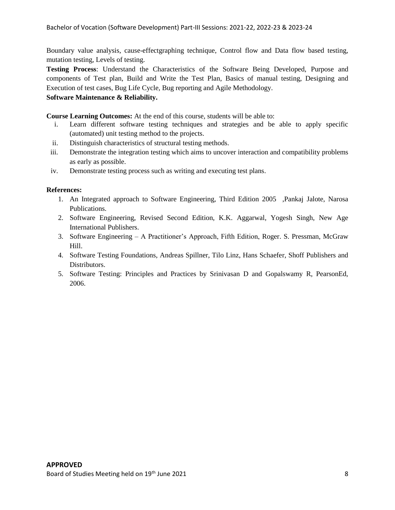Boundary value analysis, cause-effectgraphing technique, Control flow and Data flow based testing, mutation testing, Levels of testing.

**Testing Process**: Understand the Characteristics of the Software Being Developed, Purpose and components of Test plan, Build and Write the Test Plan, Basics of manual testing, Designing and Execution of test cases, Bug Life Cycle, Bug reporting and Agile Methodology.

## **Software Maintenance & Reliability.**

**Course Learning Outcomes:** At the end of this course, students will be able to:

- i. Learn different software testing techniques and strategies and be able to apply specific (automated) unit testing method to the projects.
- ii. Distinguish characteristics of structural testing methods.
- iii. Demonstrate the integration testing which aims to uncover interaction and compatibility problems as early as possible.
- iv. Demonstrate testing process such as writing and executing test plans.

#### **References:**

- 1. An Integrated approach to Software Engineering, Third Edition 2005 ,Pankaj Jalote, Narosa Publications.
- 2. Software Engineering, Revised Second Edition, K.K. Aggarwal, Yogesh Singh, New Age International Publishers.
- 3. Software Engineering A Practitioner's Approach, Fifth Edition, Roger. S. Pressman, McGraw Hill.
- 4. Software Testing Foundations, Andreas Spillner, Tilo Linz, Hans Schaefer, Shoff Publishers and Distributors.
- 5. Software Testing: Principles and Practices by Srinivasan D and Gopalswamy R, PearsonEd, 2006.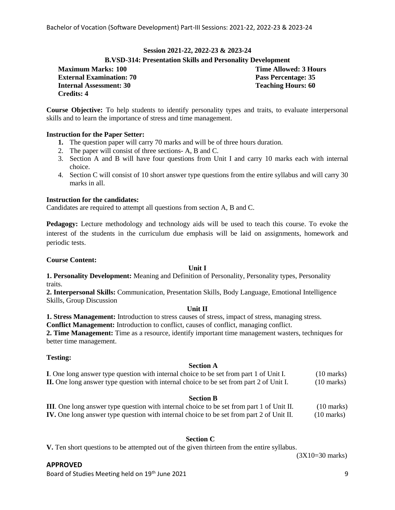## **Session 2021-22, 2022-23 & 2023-24**

#### **B.VSD-314: Presentation Skills and Personality Development**

**Maximum Marks: 100 Time Allowed: 3 Hours External Examination: 70 Pass Percentage: 35 Internal Assessment: 30 Teaching Hours: 60 Credits: 4**

**Course Objective:** To help students to identify personality types and traits, to evaluate interpersonal skills and to learn the importance of stress and time management.

#### **Instruction for the Paper Setter:**

- **1.** The question paper will carry 70 marks and will be of three hours duration.
- 2. The paper will consist of three sections- A, B and C.
- 3. Section A and B will have four questions from Unit I and carry 10 marks each with internal choice.
- 4. Section C will consist of 10 short answer type questions from the entire syllabus and will carry 30 marks in all.

#### **Instruction for the candidates:**

Candidates are required to attempt all questions from section A, B and C.

**Pedagogy:** Lecture methodology and technology aids will be used to teach this course. To evoke the interest of the students in the curriculum due emphasis will be laid on assignments, homework and periodic tests.

#### **Course Content:**

#### **Unit I**

**1. Personality Development:** Meaning and Definition of Personality, Personality types, Personality traits.

**2. Interpersonal Skills:** Communication, Presentation Skills, Body Language, Emotional Intelligence Skills, Group Discussion

#### **Unit II**

**1. Stress Management:** Introduction to stress causes of stress, impact of stress, managing stress. **Conflict Management:** Introduction to conflict, causes of conflict, managing conflict.

**2. Time Management:** Time as a resource, identify important time management wasters, techniques for better time management.

## **Testing:**

### **Section A**

| <b>I.</b> One long answer type question with internal choice to be set from part 1 of Unit I.  | $(10 \text{ marks})$ |
|------------------------------------------------------------------------------------------------|----------------------|
| <b>II.</b> One long answer type question with internal choice to be set from part 2 of Unit I. | $(10 \text{ marks})$ |

#### **Section B**

**III**. One long answer type question with internal choice to be set from part 1 of Unit II. (10 marks) **IV.** One long answer type question with internal choice to be set from part 2 of Unit II. (10 marks)

## **Section C**

**V.** Ten short questions to be attempted out of the given thirteen from the entire syllabus.

(3X10=30 marks)

**APPROVED** Board of Studies Meeting held on 19th June 2021 9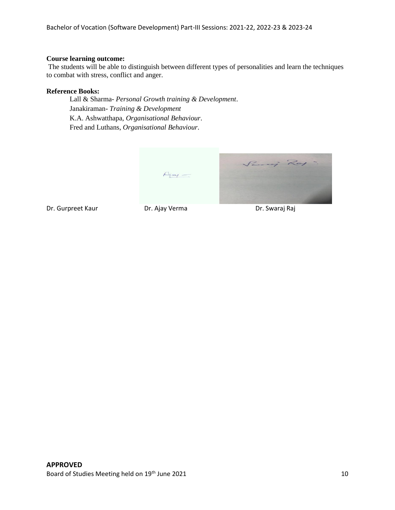#### **Course learning outcome:**

The students will be able to distinguish between different types of personalities and learn the techniques to combat with stress, conflict and anger.

#### **Reference Books:**

Lall & Sharma- *Personal Growth training & Development*. Janakiraman- *Training & Development* K.A. Ashwatthapa, *Organisational Behaviour*. Fred and Luthans, *Organisational Behaviour*.



Dr. Gurpreet Kaur **Dr. Ajay Verma** Dr. Gurpreet Kaur Dr. Swaraj Raj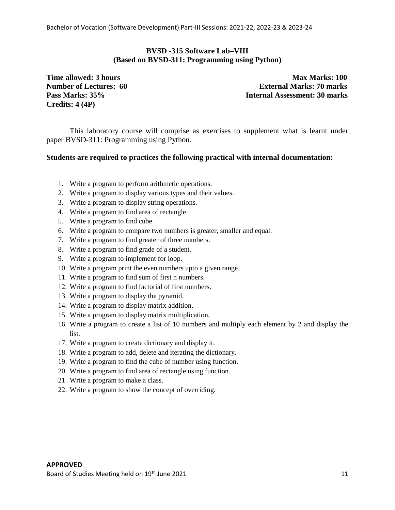Bachelor of Vocation (Software Development) Part-III Sessions: 2021-22, 2022-23 & 2023-24

## **BVSD -315 Software Lab–VIII (Based on BVSD-311: Programming using Python)**

**Credits: 4 (4P)**

**Time allowed: 3 hours Max Marks: 100 Number of Lectures: 60 External Marks: 70 marks: 70 marks: 70 marks: 70 marks: 70 marks: 70 marks: 70 marks: 70 marks: 70 marks: 70 marks: 70 marks: 70 marks: 70 marks: 70 marks: 70 marks: 70 marks: 70 marks: 70 marks: 70 Pass Marks: 35% Internal Assessment: 30 marks**

This laboratory course will comprise as exercises to supplement what is learnt under paper BVSD-311: Programming using Python.

## **Students are required to practices the following practical with internal documentation:**

- 1. Write a program to perform arithmetic operations.
- 2. Write a program to display various types and their values.
- 3. Write a program to display string operations.
- 4. Write a program to find area of rectangle.
- 5. Write a program to find cube.
- 6. Write a program to compare two numbers is greater, smaller and equal.
- 7. Write a program to find greater of three numbers.
- 8. Write a program to find grade of a student.
- 9. Write a program to implement for loop.
- 10. Write a program print the even numbers upto a given range.
- 11. Write a program to find sum of first n numbers.
- 12. Write a program to find factorial of first numbers.
- 13. Write a program to display the pyramid.
- 14. Write a program to display matrix addition.
- 15. Write a program to display matrix multiplication.
- 16. Write a program to create a list of 10 numbers and multiply each element by 2 and display the list.
- 17. Write a program to create dictionary and display it.
- 18. Write a program to add, delete and iterating the dictionary.
- 19. Write a program to find the cube of number using function.
- 20. Write a program to find area of rectangle using function.
- 21. Write a program to make a class.
- 22. Write a program to show the concept of overriding.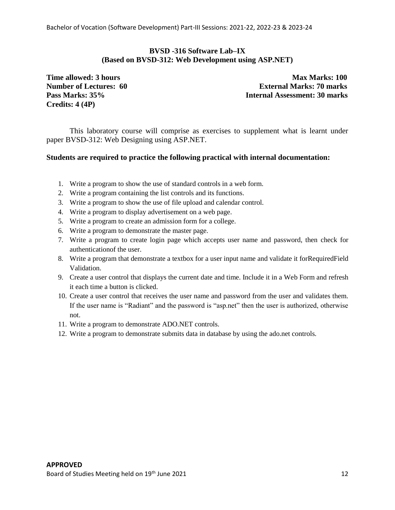Bachelor of Vocation (Software Development) Part-III Sessions: 2021-22, 2022-23 & 2023-24

## **BVSD -316 Software Lab–IX (Based on BVSD-312: Web Development using ASP.NET)**

**Credits: 4 (4P)**

**Time allowed: 3 hours Max Marks: 100 Number of Lectures: 60 External Marks: 70 marks: 70 marks: 70 marks: 70 marks: 70 marks: 70 marks: 70 marks: 70 marks: 70 marks: 70 marks: 70 marks: 70 marks: 70 marks: 70 marks: 70 marks: 70 marks: 70 marks: 70 marks: 70 Pass Marks: 35% Internal Assessment: 30 marks**

This laboratory course will comprise as exercises to supplement what is learnt under paper BVSD-312: Web Designing using ASP.NET.

## **Students are required to practice the following practical with internal documentation:**

- 1. Write a program to show the use of standard controls in a web form.
- 2. Write a program containing the list controls and its functions.
- 3. Write a program to show the use of file upload and calendar control.
- 4. Write a program to display advertisement on a web page.
- 5. Write a program to create an admission form for a college.
- 6. Write a program to demonstrate the master page.
- 7. Write a program to create login page which accepts user name and password, then check for authenticationof the user.
- 8. Write a program that demonstrate a textbox for a user input name and validate it forRequiredField Validation.
- 9. Create a user control that displays the current date and time. Include it in a Web Form and refresh it each time a button is clicked.
- 10. Create a user control that receives the user name and password from the user and validates them. If the user name is "Radiant" and the password is "asp.net" then the user is authorized, otherwise not.
- 11. Write a program to demonstrate ADO.NET controls.
- 12. Write a program to demonstrate submits data in database by using the ado.net controls.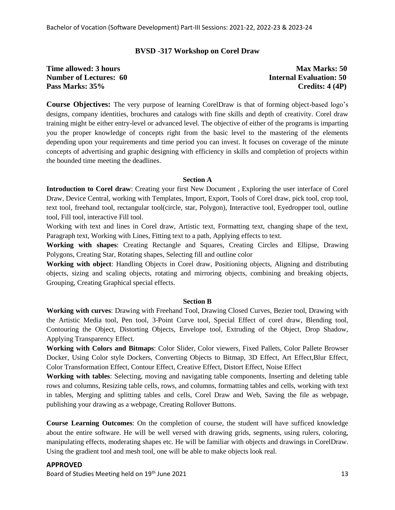#### **BVSD -317 Workshop on Corel Draw**

**Time allowed: 3 hours Max Marks: 50 Number of Lectures: 60 Internal Evaluation: 50 Pass Marks: 35% Credits: 4 (4P)**

**Course Objectives:** The very purpose of learning CorelDraw is that of forming object-based logo's designs, company identities, brochures and catalogs with fine skills and depth of creativity. Corel draw training might be either entry-level or advanced level. The objective of either of the programs is imparting you the proper knowledge of concepts right from the basic level to the mastering of the elements depending upon your requirements and time period you can invest. It focuses on coverage of the minute concepts of advertising and graphic designing with efficiency in skills and completion of projects within the bounded time meeting the deadlines.

#### **Section A**

**Introduction to Corel draw**: Creating your first New Document , Exploring the user interface of Corel Draw, Device Central, working with Templates, Import, Export, Tools of Corel draw, pick tool, crop tool, text tool, freehand tool, rectangular tool(circle, star, Polygon), Interactive tool, Eyedropper tool, outline tool, Fill tool, interactive Fill tool.

Working with text and lines in Corel draw, Artistic text, Formatting text, changing shape of the text, Paragraph text, Working with Lines, Fitting text to a path, Applying effects to text.

**Working with shapes**: Creating Rectangle and Squares, Creating Circles and Ellipse, Drawing Polygons, Creating Star, Rotating shapes, Selecting fill and outline color

**Working with object**: Handling Objects in Corel draw, Positioning objects, Aligning and distributing objects, sizing and scaling objects, rotating and mirroring objects, combining and breaking objects, Grouping, Creating Graphical special effects.

#### **Section B**

**Working with curves**: Drawing with Freehand Tool, Drawing Closed Curves, Bezier tool, Drawing with the Artistic Media tool, Pen tool, 3-Point Curve tool, Special Effect of corel draw, Blending tool, Contouring the Object, Distorting Objects, Envelope tool, Extruding of the Object, Drop Shadow, Applying Transparency Effect.

**Working with Colors and Bitmaps**: Color Slider, Color viewers, Fixed Pallets, Color Pallete Browser Docker, Using Color style Dockers, Converting Objects to Bitmap, 3D Effect, Art Effect,Blur Effect, Color Transformation Effect, Contour Effect, Creative Effect, Distort Effect, Noise Effect

**Working with tables**: Selecting, moving and navigating table components, Inserting and deleting table rows and columns, Resizing table cells, rows, and columns, formatting tables and cells, working with text in tables, Merging and splitting tables and cells, Corel Draw and Web, Saving the file as webpage, publishing your drawing as a webpage, Creating Rollover Buttons.

**Course Learning Outcomes**: On the completion of course, the student will have sufficed knowledge about the entire software. He will be well versed with drawing grids, segments, using rulers, coloring, manipulating effects, moderating shapes etc. He will be familiar with objects and drawings in CorelDraw. Using the gradient tool and mesh tool, one will be able to make objects look real.

#### **APPROVED**

Board of Studies Meeting held on 19<sup>th</sup> June 2021 13 and the studies of the studies of the studies of the studies of the studies of the studies of the studies of the studies of the studies of the studies of the studies of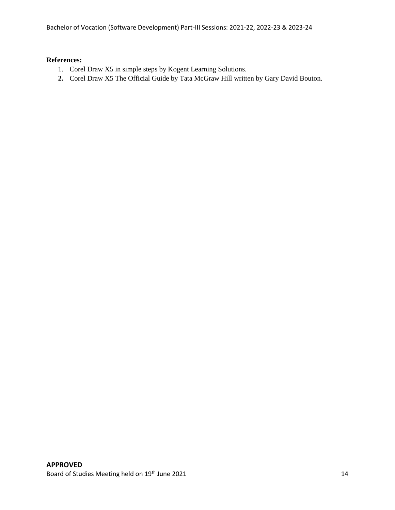## **References:**

- 1. Corel Draw X5 in simple steps by Kogent Learning Solutions.
- **2.** Corel Draw X5 The Official Guide by Tata McGraw Hill written by Gary David Bouton.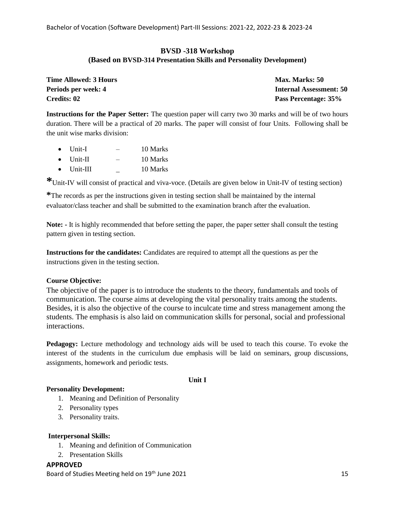## **BVSD -318 Workshop (Based on BVSD-314 Presentation Skills and Personality Development)**

**Time Allowed: 3 Hours Max. Marks: 50 Max. Marks: 50 Credits: 02** Pass Percentage: 35%

**Periods per week: 4 Internal Assessment: 50** 

**Instructions for the Paper Setter:** The question paper will carry two 30 marks and will be of two hours duration. There will be a practical of 20 marks. The paper will consist of four Units. Following shall be the unit wise marks division:

| $\bullet$ | Unit-I   | 10 Marks |
|-----------|----------|----------|
| $\bullet$ | Unit-II  | 10 Marks |
| $\bullet$ | Unit-III | 10 Marks |

**\***Unit-IV will consist of practical and viva-voce. (Details are given below in Unit-IV of testing section)

**\***The records as per the instructions given in testing section shall be maintained by the internal evaluator/class teacher and shall be submitted to the examination branch after the evaluation.

**Note: -** It is highly recommended that before setting the paper, the paper setter shall consult the testing pattern given in testing section.

**Instructions for the candidates:** Candidates are required to attempt all the questions as per the instructions given in the testing section.

#### **Course Objective:**

The objective of the paper is to introduce the students to the theory, fundamentals and tools of communication. The course aims at developing the vital personality traits among the students. Besides, it is also the objective of the course to inculcate time and stress management among the students. The emphasis is also laid on communication skills for personal, social and professional interactions.

**Pedagogy:** Lecture methodology and technology aids will be used to teach this course. To evoke the interest of the students in the curriculum due emphasis will be laid on seminars, group discussions, assignments, homework and periodic tests.

#### **Unit I**

### **Personality Development:**

- 1. Meaning and Definition of Personality
- 2. Personality types
- 3. Personality traits.

#### **Interpersonal Skills:**

- 1. Meaning and definition of Communication
- 2. Presentation Skills

## **APPROVED**

Board of Studies Meeting held on 19<sup>th</sup> June 2021 15 and the studies of the studies of the studies of the studies of the studies of the studies of the studies of the studies of the studies of the studies of the studies of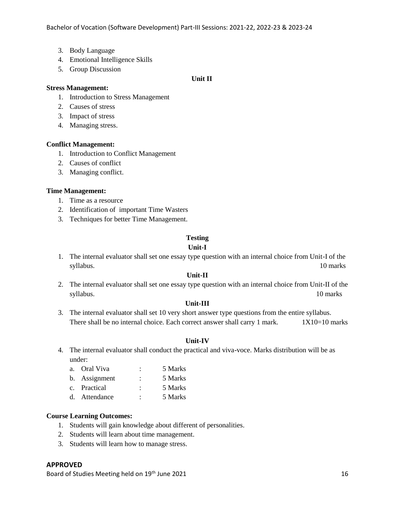- 3. Body Language
- 4. Emotional Intelligence Skills
- 5. Group Discussion

#### **Unit II**

#### **Stress Management:**

- 1. Introduction to Stress Management
- 2. Causes of stress
- 3. Impact of stress
- 4. Managing stress.

#### **Conflict Management:**

- 1. Introduction to Conflict Management
- 2. Causes of conflict
- 3. Managing conflict.

#### **Time Management:**

- 1. Time as a resource
- 2. Identification of important Time Wasters
- 3. Techniques for better Time Management.

## **Testing**

#### **Unit-I**

1. The internal evaluator shall set one essay type question with an internal choice from Unit-I of the syllabus. 10 marks

#### **Unit-II**

2. The internal evaluator shall set one essay type question with an internal choice from Unit-II of the syllabus. 10 marks

#### **Unit-III**

3. The internal evaluator shall set 10 very short answer type questions from the entire syllabus. There shall be no internal choice. Each correct answer shall carry 1 mark. 1X10=10 marks

#### **Unit-IV**

4. The internal evaluator shall conduct the practical and viva-voce. Marks distribution will be as under:

| a. Oral Viva  |   | 5 Marks |
|---------------|---|---------|
| b. Assignment | ٠ | 5 Marks |
| c. Practical  | ÷ | 5 Marks |
| d. Attendance | ٠ | 5 Marks |

## **Course Learning Outcomes:**

- 1. Students will gain knowledge about different of personalities.
- 2. Students will learn about time management.
- 3. Students will learn how to manage stress.

## **APPROVED**

Board of Studies Meeting held on 19<sup>th</sup> June 2021 16 and the studies of the studies of the studies of the studies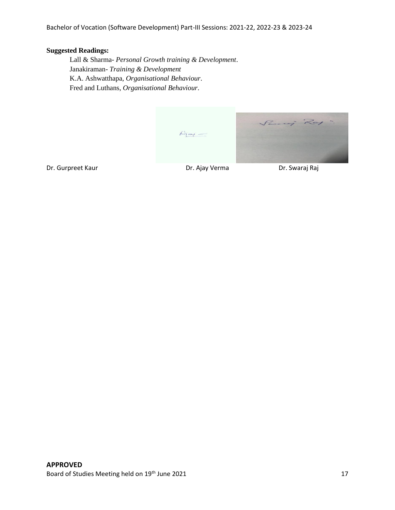Bachelor of Vocation (Software Development) Part-III Sessions: 2021-22, 2022-23 & 2023-24

## **Suggested Readings:**

Lall & Sharma- *Personal Growth training & Development*. Janakiraman- *Training & Development* K.A. Ashwatthapa, *Organisational Behaviour*. Fred and Luthans, *Organisational Behaviour*.

 $A_{\text{J}}$ 



Dr. Gurpreet Kaur **Dr. Ajay Verma** Dr. Ajay Verma Dr. Swaraj Raj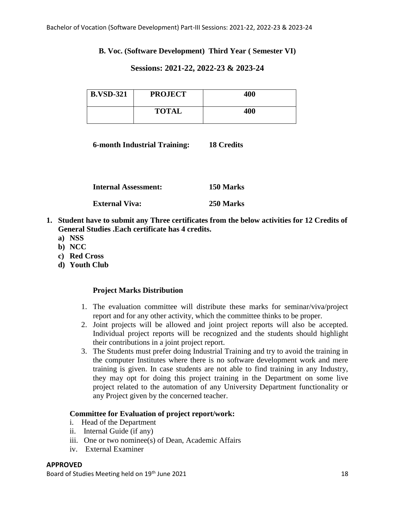## **B. Voc. (Software Development) Third Year ( Semester VI)**

## **Sessions: 2021-22, 2022-23 & 2023-24**

| <b>B.VSD-321</b> | <b>PROJECT</b> | 400 |
|------------------|----------------|-----|
|                  | <b>TOTAL</b>   | 400 |

**6-month Industrial Training: 18 Credits**

| <b>Internal Assessment:</b> | 150 Marks |
|-----------------------------|-----------|
| <b>External Viva:</b>       | 250 Marks |

- **1. Student have to submit any Three certificates from the below activities for 12 Credits of General Studies .Each certificate has 4 credits.**
	- **a) NSS**
	- **b) NCC**
	- **c) Red Cross**
	- **d) Youth Club**

## **Project Marks Distribution**

- 1. The evaluation committee will distribute these marks for seminar/viva/project report and for any other activity, which the committee thinks to be proper.
- 2. Joint projects will be allowed and joint project reports will also be accepted. Individual project reports will be recognized and the students should highlight their contributions in a joint project report.
- 3. The Students must prefer doing Industrial Training and try to avoid the training in the computer Institutes where there is no software development work and mere training is given. In case students are not able to find training in any Industry, they may opt for doing this project training in the Department on some live project related to the automation of any University Department functionality or any Project given by the concerned teacher.

## **Committee for Evaluation of project report/work:**

- i. Head of the Department
- ii. Internal Guide (if any)
- iii. One or two nominee(s) of Dean, Academic Affairs
- iv. External Examiner